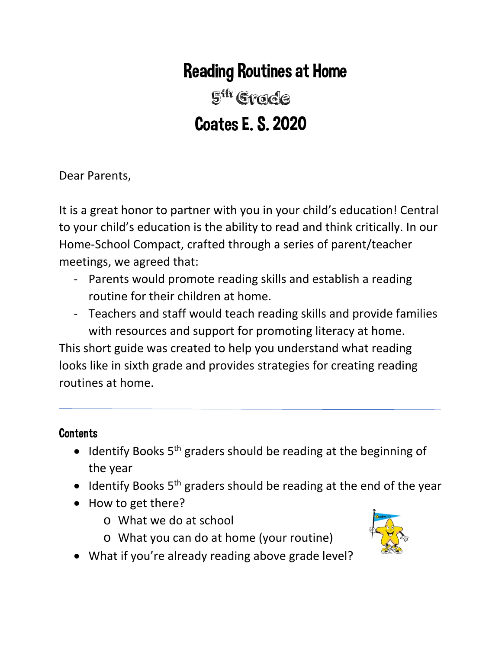# Reading Routines at Home

5<sup>th</sup> Grade Coates E. S. 2020

Dear Parents,

It is a great honor to partner with you in your child's education! Central to your child's education is the ability to read and think critically. In our Home-School Compact, crafted through a series of parent/teacher meetings, we agreed that:

- Parents would promote reading skills and establish a reading routine for their children at home.
- Teachers and staff would teach reading skills and provide families with resources and support for promoting literacy at home.

This short guide was created to help you understand what reading looks like in sixth grade and provides strategies for creating reading routines at home.

## **Contents**

- Identify Books  $5<sup>th</sup>$  graders should be reading at the beginning of the year
- Identify Books 5<sup>th</sup> graders should be reading at the end of the year
- How to get there?
	- o What we do at school
	- o What you can do at home (your routine)



• What if you're already reading above grade level?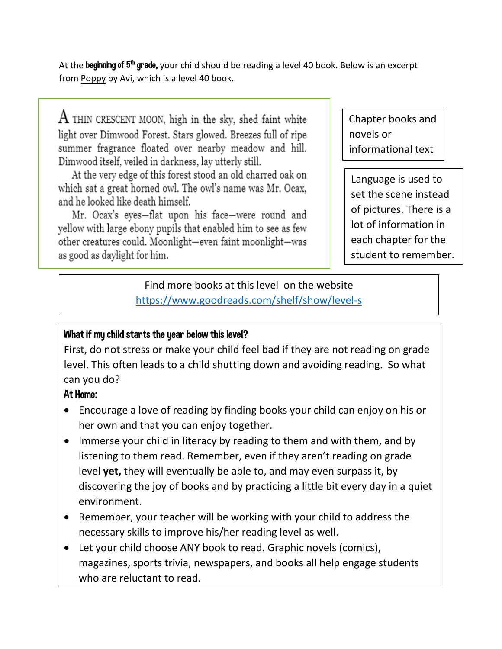At the beginning of 5<sup>th</sup> grade, your child should be reading a level 40 book. Below is an excerpt from Poppy by Avi, which is a level 40 book.

 $\rm A$  THIN CRESCENT MOON, high in the sky, shed faint white light over Dimwood Forest. Stars glowed. Breezes full of ripe summer fragrance floated over nearby meadow and hill. Dimwood itself, veiled in darkness, lay utterly still.

At the very edge of this forest stood an old charred oak on which sat a great horned owl. The owl's name was Mr. Ocax, and he looked like death himself.

Mr. Ocax's eyes-flat upon his face-were round and yellow with large ebony pupils that enabled him to see as few other creatures could. Moonlight-even faint moonlight-was as good as daylight for him.

Chapter books and novels or informational text

Language is used to set the scene instead of pictures. There is a lot of information in each chapter for the student to remember.

# Find more books at this level on the website <https://www.goodreads.com/shelf/show/level-s>

## What if my child starts the year below this level?

First, do not stress or make your child feel bad if they are not reading on grade level. This often leads to a child shutting down and avoiding reading. So what can you do?

### At Home:

- Encourage a love of reading by finding books your child can enjoy on his or her own and that you can enjoy together.
- Immerse your child in literacy by reading to them and with them, and by listening to them read. Remember, even if they aren't reading on grade level **yet,** they will eventually be able to, and may even surpass it, by discovering the joy of books and by practicing a little bit every day in a quiet environment.
- Remember, your teacher will be working with your child to address the necessary skills to improve his/her reading level as well.
- Let your child choose ANY book to read. Graphic novels (comics), magazines, sports trivia, newspapers, and books all help engage students who are reluctant to read.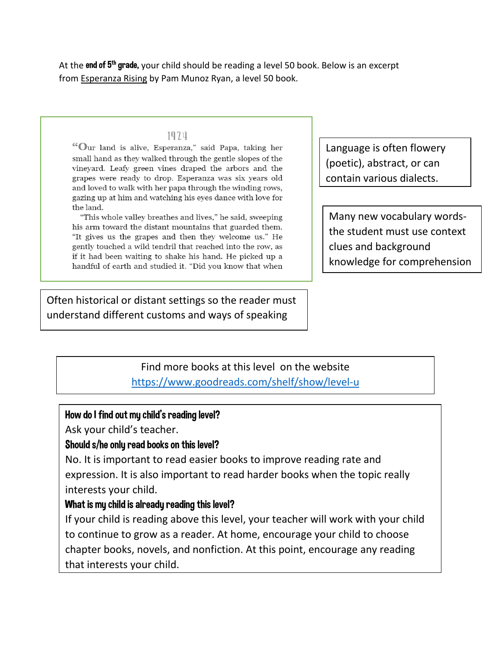At the end of 5<sup>th</sup> grade, your child should be reading a level 50 book. Below is an excerpt from Esperanza Rising by Pam Munoz Ryan, a level 50 book.

#### 1974

"Our land is alive, Esperanza," said Papa, taking her small hand as they walked through the gentle slopes of the vineyard. Leafy green vines draped the arbors and the grapes were ready to drop. Esperanza was six years old and loved to walk with her papa through the winding rows, gazing up at him and watching his eyes dance with love for the land.

"This whole valley breathes and lives," he said, sweeping his arm toward the distant mountains that guarded them. "It gives us the grapes and then they welcome us." He gently touched a wild tendril that reached into the row, as if it had been waiting to shake his hand. He picked up a handful of earth and studied it. "Did you know that when Language is often flowery (poetic), abstract, or can contain various dialects.

Many new vocabulary wordsthe student must use context clues and background knowledge for comprehension

Often historical or distant settings so the reader must understand different customs and ways of speaking

## Find more books at this level on the website <https://www.goodreads.com/shelf/show/level-u>

#### How do I find out my child's reading level?

Ask your child's teacher.

#### Should s/he only read books on this level?

No. It is important to read easier books to improve reading rate and expression. It is also important to read harder books when the topic really interests your child.

#### What is my child is already reading this level?

If your child is reading above this level, your teacher will work with your child to continue to grow as a reader. At home, encourage your child to choose chapter books, novels, and nonfiction. At this point, encourage any reading that interests your child.